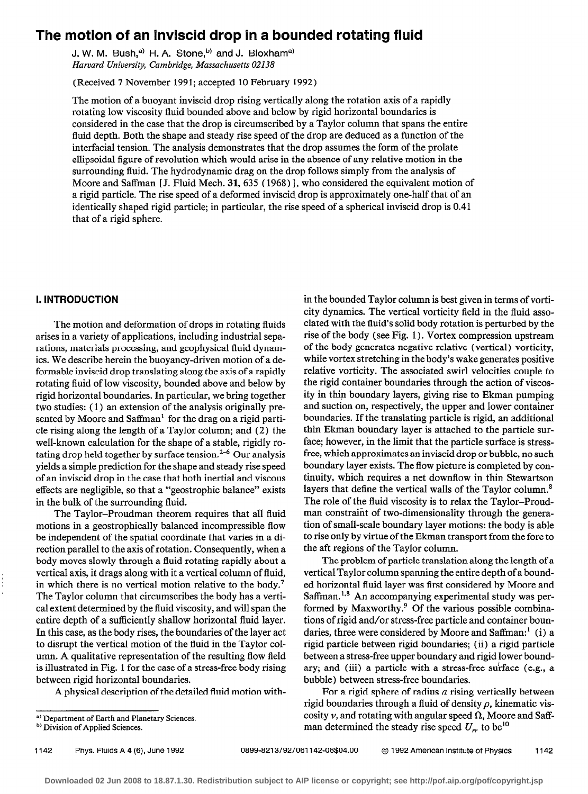# The motion of an inviscid drop in a bounded rotating fluid

J. W. M. Bush,<sup>a)</sup> H. A. Stone,<sup>b)</sup> and J. Bloxham<sup>a)</sup> Harvard University, Cambridge, Massachusetts 02138

(Received 7 November 199 1; accepted 10 February 1992)

The motion of a buoyant inviscid drop rising vertically along the rotation axis of a rapidly rotating low viscosity fluid bounded above and below by rigid horizontal boundaries is considered in the case that the drop is circumscribed by a Taylor column that spans the entire fluid depth. Both the shape and steady rise speed of the drop are deduced as a function of the interfacial tension. The analysis demonstrates that the drop assumes the form of the prolate ellipsoidal figure of revolution which would arise in the absence of any relative motion in the surrounding fluid. The hydrodynamic drag on the drop follows simply from the analysis of Moore and Saffman [J. Fluid Mech. 31, 635 (1968) l, who considered the equivalent motion of a rigid particle. The rise speed of a deformed inviscid drop is approximately one-half that of an identically shaped rigid particle; in particular, the rise speed of a spherical inviscid drop is 0.41 that of a rigid sphere.

## 1. INTRODUCTION

The motion and deformation of drops in rotating fluids arises in a variety of applications, including industrial separations, materials processing, and geophysical fluid dynamics. We describe herein the buoyancy-driven motion of a deformable inviscid drop translating along the axis of a rapidly rotating fluid of low viscosity, bounded above and below by rigid horizontal boundaries. In particular, we bring together two studies: (1) an extension of the analysis originally presented by Moore and Saffman' for the drag on a rigid particle rising along the length of a Taylor column; and (2) the well-known calculation for the shape of a stable, rigidly rotating drop held together by surface tension.<sup>2-6</sup> Our analysis yields a simple prediction for the shape and steady rise speed of an inviscid drop in the case that both inertial and viscous effects are negligible, so that a "geostrophic balance" exists in the bulk of the surrounding fluid.

The Taylor-Proudman theorem requires that all fluid motions in a geostrophically balanced incompressible flow be independent of the spatial coordinate that varies in a direction parallel to the axis of rotation. Consequently, when a body moves slowly through a fluid rotating rapidly about a vertical axis, it drags along with it a vertical column of fluid, in which there is no vertical motion relative to the body.<sup>7</sup> The Taylor column that circumscribes the body has a vertical extent determined by the fluid viscosity, and will span the entire depth of a sufficiently shallow horizontal fluid layer. In this case, as the body rises, the boundaries of the layer act to disrupt the vertical motion of the fluid in the Taylor column. A qualitative representation of the resulting flow field is illustrated in Fig. 1 for the case of a stress-free body rising between rigid horizontal boundaries.

A physical description of the detailed fluid motion with-

in the bounded Taylor column is best given in terms of vorticity dynamics. The vertical vorticity field in the fluid associated with the fluid's solid body rotation is perturbed by the rise of the body (see Fig. 1) . Vortex compression upstream of the body generates negative relative (vertical) vorticity, while vortex stretching in the body's wake generates positive relative vorticity. The associated swirl velocities couple to the rigid container boundaries through the action of viscosity in thin boundary layers, giving rise to Ekman pumping and suction on, respectively, the upper and lower container boundaries. If the translating particle is rigid, an additional thin Ekman boundary layer is attached to the particle surface; however, in the limit that the particle surface is stressfree, which approximates an inviscid drop or bubble, no such boundary layer exists. The flow picture is completed by continuity, which requires a net downflow in thin Stewartson layers that define the vertical walls of the Taylor column.<sup>8</sup> The role of the fluid viscosity is to relax the Taylor-Proudman constraint of two-dimensionality through the generation of small-scale boundary layer motions: the body is able to rise only by virtue of the Ekman transport from the fore to the aft regions of the Taylor column.

The problem of particle translation along the length of a vertical Taylor column spanning the entire depth of a bounded horizontal fluid layer was first considered by Moore and Saffman.<sup>1,8</sup> An accompanying experimental study was performed by Maxworthy.<sup>9</sup> Of the various possible combinations of rigid and/or stress-free particle and container boundaries, three were considered by Moore and Saffman:' (i) a rigid particle between rigid boundaries; (ii) a rigid particle between a stress-free upper boundary and rigid lower boundary; and (iii) a particle with a stress-free surface (e.g., a bubble) between stress-free boundaries.

For a rigid sphere of radius  $a$  rising vertically between rigid boundaries through a fluid of density  $\rho$ , kinematic viscosity  $\nu$ , and rotating with angular speed  $\Omega$ , Moore and Saffman determined the steady rise speed  $U_{rr}$  to be<sup>10</sup>

a) Department of Earth and Planetary Sciences.

<sup>&</sup>lt;sup>b)</sup> Division of Applied Sciences.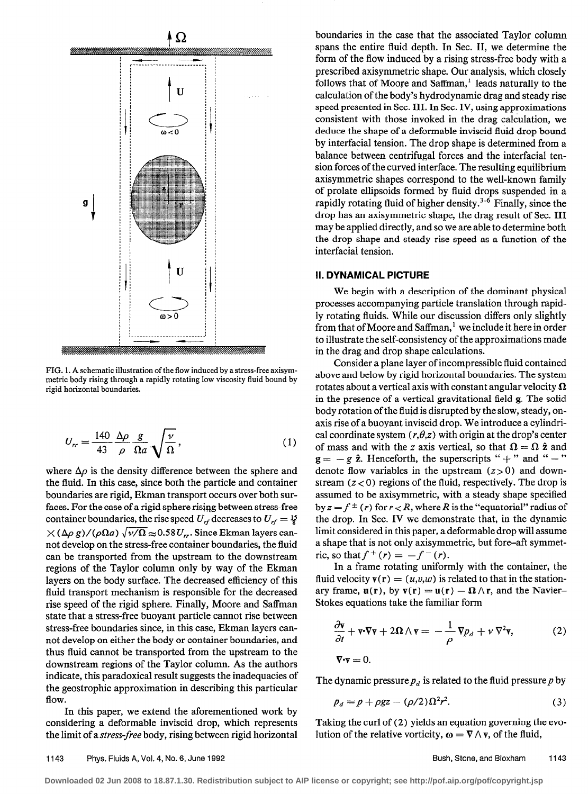

FIG. 1. A schematic illustration of the flow induced by a stress-free axisymmetric body rising through a rapidly rotating low viscosity fluid bound by rigid horizontal boundaries.

$$
U_{rr} = \frac{140}{43} \frac{\Delta \rho}{\rho} \frac{g}{\Omega a} \sqrt{\frac{\nu}{\Omega}},\tag{1}
$$

where  $\Delta \rho$  is the density difference between the sphere and the fluid. In this case, since both the particle and container boundaries are rigid, Ekman transport occurs over both surfaces. For the case of a rigid sphere rising between stress-free container boundaries, the rise speed  $U_{rf}$  decreases to  $U_{rf} = \frac{15}{8}$  $\times (\Delta \rho g)/(\rho \Omega a) \sqrt{\nu/\Omega} \approx 0.58 U_r$ . Since Ekman layers cannot develop on the stress-free container boundaries, the fluid can be transported from the upstream to the downstream regions of the Taylor column only by way of the Ekman layers on the body surface. The decreased efficiency of this fluid transport mechanism is responsible for the decreased rise speed of the rigid sphere. Finally, Moore and Saffman state that a stress-free buoyant particle cannot rise between stress-free boundaries since, in this case, Ekman layers cannot develop on either the body or container boundaries, and thus fluid cannot be transported from the upstream to the downstream regions of the Taylor column. As the authors indicate, this paradoxical result suggests the inadequacies of the geostrophic approximation in describing this particular flow.

In this paper, we extend the aforementioned work by considering a deformable inviscid drop, which represents the limit of a stress-free body, rising between rigid horizontal

boundaries in the case that the associated Taylor column spans the entire fluid depth. In Sec. II, we determine the form of the flow induced by a rising stress-free body with a prescribed axisymmetric shape. Our analysis, which closely follows that of Moore and Saffman,' leads naturally to the calculation of the body's hydrodynamic drag and steady rise speed presented in Sec. III. In Sec. IV, using approximations consistent with those invoked in the drag calculation, we deduce the shape of a deformable inviscid fluid drop bound by interfacial tension. The drop shape is determined from a balance between centrifugal forces and the interfacial tension forces of the curved interface. The resulting equilibrium axisymmetric shapes correspond to the well-known family of prolate ellipsoids formed by fluid drops suspended in a rapidly rotating fluid of higher density.<sup>3-6</sup> Finally, since the drop has an axisymmetric shape, the drag result of Sec. III may be applied directly, and so we are able to determine both the drop shape and steady rise speed as a function of the interfacial tension.

#### II. DYNAMICAL PICTURE

We begin with a description of the dominant physical processes accompanying particle translation through rapidly rotating fluids. While our discussion differs only slightly from that of Moore and Saffman,' we include it here in order to illustrate the self-consistency of the approximations made in the drag and drop shape calculations.

Consider a plane layer of incompressible fluid contained above and below by rigid horizontal boundaries. The system rotates about a vertical axis with constant angular velocity  $\Omega$ in the presence of a vertical gravitational field g. The solid body rotation of the fluid is disrupted by the slow, steady, onaxis rise of a buoyant inviscid drop. We introduce a cylindrical coordinate system  $(r, \theta, z)$  with origin at the drop's center of mass and with the z axis vertical, so that  $\Omega = \Omega \hat{z}$  and  $g = -g \hat{z}$ . Henceforth, the superscripts " + " and " - " denote flow variables in the upstream  $(z>0)$  and downstream  $(z < 0)$  regions of the fluid, respectively. The drop is assumed to be axisymmetric, with a steady shape specified by  $z = f^{\pm}(r)$  for  $r < R$ , where R is the "equatorial" radius of the drop. In Sec. IV we demonstrate that, in the dynamic limit considered in this paper, a deformable drop will assume a shape that is not only axisymmetric, but fore-aft symmetric, so that  $f^{+}(r) = -f^{-}(r)$ .

In a frame rotating uniformly with the container, the fluid velocity  $\mathbf{v}(\mathbf{r}) = (u,v,w)$  is related to that in the stationary frame,  $u(r)$ , by  $v(r) = u(r) - \Omega \wedge r$ , and the Navier-Stokes equations take the familiar form

$$
\frac{\partial \mathbf{v}}{\partial t} + \mathbf{v} \cdot \nabla \mathbf{v} + 2\mathbf{\Omega} \wedge \mathbf{v} = -\frac{1}{\rho} \nabla p_d + \nu \nabla^2 \mathbf{v},
$$
\n
$$
\nabla \cdot \mathbf{v} = 0.
$$
\n(2)

The dynamic pressure  $p_d$  is related to the fluid pressure p by

$$
p_d = p + \rho gz - (\rho/2)\Omega^2 r^2. \tag{3}
$$

Taking the curl of (2) yields an equation governing the evolution of the relative vorticity,  $\omega = \nabla \wedge v$ , of the fluid,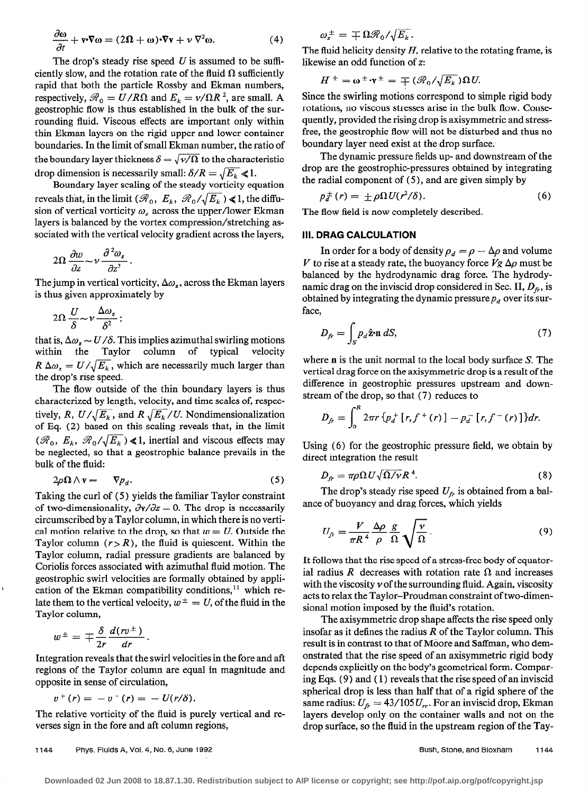$$
\frac{\partial \omega}{\partial t} + \mathbf{v} \cdot \nabla \omega = (2\Omega + \omega) \cdot \nabla \mathbf{v} + \nu \nabla^2 \omega.
$$
 (4)

The drop's steady rise speed  $U$  is assumed to be sufficiently slow, and the rotation rate of the fluid  $\Omega$  sufficiently rapid that both the particle Rossby and Ekman numbers, respectively,  $\mathcal{R}_0 = U/R\Omega$  and  $E_k = v/\Omega R^2$ , are small. A geostrophic flow is thus established in the bulk of the surrounding fluid. Viscous effects are important only within thin Ekman layers on the rigid upper and lower container boundaries. In the limit of small Ekman number, the ratio of the boundary layer thickness  $\delta = \sqrt{\gamma/\Omega}$  to the characteristic drop dimension is necessarily small:  $\delta/R = \sqrt{E_k} \le 1$ .

Boundary layer scaling of the steady vorticity equation reveals that, in the limit ( $\mathcal{R}_0$ ,  $E_k$ ,  $\mathcal{R}_0/\sqrt{E_k}$ ) < 1, the diffusion of vertical vorticity  $\omega$ , across the upper/lower Ekman layers is balanced by the vortex compression/stretching associated with the vertical velocity gradient across the layers,

$$
2\Omega \frac{\partial w}{\partial z} \sim \nu \frac{\partial^2 \omega_z}{\partial z^2}
$$

The jump in vertical vorticity,  $\Delta \omega_z$ , across the Ekman layers is thus given approximately by

$$
2\Omega \frac{U}{\delta} \sim \nu \frac{\Delta \omega_z}{\delta^2};
$$

that is,  $\Delta \omega_z \sim U/\delta$ . This implies azimuthal swirling motions within the Taylor column of typical velocity  $R \Delta \omega_z = U / \sqrt{E_k}$ , which are necessarily much larger than the drop's rise speed.

The flow outside of the thin boundary layers is thus characterized by length, velocity, and time scales of, respectively, R,  $U/\sqrt{E_k}$ , and R  $\sqrt{E_k}/U$ . Nondimensionalization of Eq. (2) based on this scaling reveals that, in the limit  $(\mathcal{R}_0, E_k, \mathcal{R}_0/\sqrt{E_k})$  < 1, inertial and viscous effects may be neglected, so that a geostrophic balance prevails in the bulk of the fluid:

$$
2\rho \Omega \wedge \mathbf{v} = -\nabla p_d. \tag{5}
$$

Taking the curl of (5) yields the familiar Taylor constraint of two-dimensionality,  $\partial \mathbf{v}/\partial z = 0$ . The drop is necessarily circumscribed by a Taylor column, in which there is no vertical motion relative to the drop, so that  $w = U$ . Outside the Taylor column  $(r > R)$ , the fluid is quiescent. Within the Taylor column, radial pressure gradients are balanced by Coriolis forces associated with azimuthal fluid motion. The geostrophic swirl velocities are formally obtained by application of the Ekman compatibility conditions,<sup>11</sup> which relate them to the vertical velocity,  $w^{\pm} = U$ , of the fluid in the Taylor column,

$$
w^{\pm} = \mp \frac{\delta}{2r} \frac{d(rv^{\pm})}{dr}.
$$

Integration reveals that the swirl velocities in the fore and aft regions of the Taylor column are equal in magnitude and opposite in sense of circulation,

$$
v^{+}(r) = -v^{-}(r) = - U(r/\delta).
$$

The relative vorticity of the fluid is purely vertical and reverses sign in the fore and aft column regions,

$$
\omega_z^{\pm} = \mp \Omega \mathscr{R}_0 / \sqrt{E_k}.
$$

The fluid helicity density  $H$ , relative to the rotating frame, is likewise an odd function of z:

$$
H^{\pm} = \omega^{\pm} \cdot \mathbf{v}^{\pm} = \mp (\mathscr{R}_0 / \sqrt{E_k}) \Omega U.
$$

Since the swirling motions correspond to simple rigid body rotations, no viscous stresses arise in the bulk flow. Consequently, provided the rising drop is axisymmetric and stressfree, the geostrophic flow will not be disturbed and thus no boundary layer need exist at the drop surface.

The dynamic pressure fields up- and downstream of the drop are the geostrophic-pressures obtained by integrating the radial component of  $(5)$ , and are given simply by

$$
p_d^{\pm}(r) = \pm \rho \Omega U(r^2/\delta). \tag{6}
$$

The flow field is now completely described.

#### III. DRAG CALCULATION

In order for a body of density  $\rho_d = \rho - \Delta \rho$  and volume V to rise at a steady rate, the buoyancy force  $Vg \Delta \rho$  must be balanced by the hydrodynamic drag force. The hydrodynamic drag on the inviscid drop considered in Sec. II,  $D<sub>f</sub>$ , is obtained by integrating the dynamic pressure  $p_d$  over its surface,

$$
D_{fr} = \int_{S} p_{d} \hat{\mathbf{z}} \cdot \mathbf{n} \, dS,\tag{7}
$$

where n is the unit normal to the local body surface S. The vertical drag force on the axisymmetric drop is a result of the difference in geostrophic pressures upstream and downstream of the drop, so that (7) reduces to

$$
D_{fr} = \int_0^R 2\pi r \{p_d^+[r, f^+(r)] - p_d^-[r, f^-(r)]\} dr.
$$

Using (6) for the geostrophic pressure field, we obtain by direct integration the result

$$
D_{fr} = \pi \rho \Omega U \sqrt{\Omega / \nu} R^4. \tag{8}
$$

The drop's steady rise speed  $U<sub>f</sub>$  is obtained from a balance of buoyancy and drag forces, which yields

$$
U_{fr} = \frac{V}{\pi R^4} \frac{\Delta \rho}{\rho} \frac{g}{\Omega} \sqrt{\frac{\nu}{\Omega}}.
$$
 (9)

It follows that the rise speed of a stress-free body of equatorial radius R decreases with rotation rate  $\Omega$  and increases with the viscosity  $\nu$  of the surrounding fluid. Again, viscosity acts to relax the Taylor-Proudman constraint of two-dimensional motion imposed by the fluid's rotation.

The axisymmetric drop shape affects the rise speed only insofar as it defines the radius  $R$  of the Taylor column. This result is in contrast to that of Moore and Saffman, who demonstrated that the rise speed of an axisymmetric rigid body depends explicitly on the body's geometrical form. Comparing Eqs. (9) and ( 1) reveals that the rise speed of an inviscid spherical drop is less than half that of a rigid sphere of the same radius:  $U_f = 43/105 U_r$ . For an inviscid drop, Ekman layers develop only on the container walls and not on the drop surface, so the fluid in the upstream region of the Tay-

1144 Phys. Fluids A, Vol. 4, No. 6, June 1992 **Bush, Stone, and Bloxham** 1144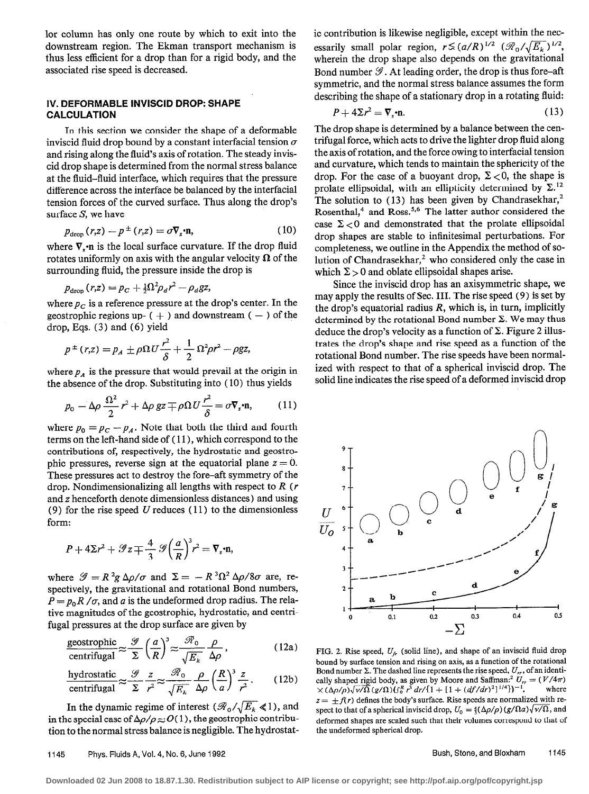lor column has only one route by which to exit into the downstream region. The Ekman transport mechanism is thus less efficient for a drop than for a rigid body, and the associated rise speed is decreased.

#### IV. DEFORMABLE INVISCID DROP: SHAPE CALCULATION

In this section we consider the shape of a deformable inviscid fluid drop bound by a constant interfacial tension  $\sigma$ and rising along the fluid's axis of rotation. The steady inviscid drop shape is determined from the normal stress balance at the fluid-fluid interface, which requires that the pressure difference across the interface be balanced by the interfacial tension forces of the curved surface. Thus along the drop's surface S, we have

$$
p_{\text{drop}}(r,z) - p^{\pm}(r,z) = \sigma \nabla_s \cdot \mathbf{n},\tag{10}
$$

where  $\nabla$ <sub>s</sub>·n is the local surface curvature. If the drop fluid rotates uniformly on axis with the angular velocity  $\Omega$  of the surrounding fluid, the pressure inside the drop is

$$
p_{\text{drop}}(r,z) = p_C + \frac{1}{2}\Omega^2 \rho_d r^2 - \rho_d gz,
$$

where  $p_c$  is a reference pressure at the drop's center. In the geostrophic regions up-  $( + )$  and downstream  $( - )$  of the drop, Eqs. (3) and (6) yield

$$
p^{\pm}(r,z) = p_A \pm \rho \Omega U \frac{r^2}{\delta} + \frac{1}{2} \Omega^2 \rho r^2 - \rho gz,
$$

where  $p_A$  is the pressure that would prevail at the origin in the absence of the drop. Substituting into ( 10) thus yields

$$
p_0 - \Delta \rho \frac{\Omega^2}{2} r^2 + \Delta \rho \, gz \mp \rho \Omega U \frac{r^2}{\delta} = \sigma \nabla_s \cdot \mathbf{n},\qquad (11)
$$

where  $p_0 = p_c - p_A$ . Note that both the third and fourth terms on the left-hand side of ( 11)) which correspond to the contributions of, respectively, the hydrostatic and geostrophic pressures, reverse sign at the equatorial plane  $z = 0$ . These pressures act to destroy the fore-aft symmetry of the drop. Nondimensionalizing all lengths with respect to  $R(r)$ and z henceforth denote dimensionless distances) and using (9) for the rise speed U reduces  $(11)$  to the dimensionless form:

$$
P + 4\Sigma r^2 + \mathcal{G}z \mp \frac{4}{3} \mathcal{G} \left(\frac{a}{R}\right)^3 r^2 = \nabla_s \cdot \mathbf{n},
$$

where  $\mathscr{G} = R^2 g \Delta \rho / \sigma$  and  $\Sigma = -R^3 \Omega^2 \Delta \rho / 8 \sigma$  are, respectively, the gravitational and rotational Bond numbers,  $P = p_0 R / \sigma$ , and a is the undeformed drop radius. The relative magnitudes of the geostrophic, hydrostatic, and centrifugal pressures at the drop surface are given by

$$
\frac{\text{geostrophic}}{\text{centrifugal}} \approx \frac{\mathcal{G}}{\Sigma} \left(\frac{a}{R}\right)^3 \approx \frac{\mathcal{R}_0}{\sqrt{E_k}} \frac{\rho}{\Delta \rho},\tag{12a}
$$

$$
\frac{\text{hydrostatic}}{\text{centrifugal}} \approx \frac{\mathcal{G}}{\Sigma} \frac{z}{r^2} \approx \frac{\mathcal{R}_0}{\sqrt{E_k}} \frac{\rho}{\Delta \rho} \left(\frac{R}{a}\right)^3 \frac{z}{r^2}. \tag{12b}
$$

In the dynamic regime of interest ( $\mathcal{R}_0/\sqrt{E_k} \le 1$ ), and in the special case of  $\Delta \rho / \rho \approx O(1)$ , the geostrophic contribution to the normal stress balance is negligible. The hydrostatic contribution is likewise negligible, except within the necessarily small polar region,  $r \lesssim (a/R)^{1/2}$   $(\mathcal{R}_0/\sqrt{E_k})^{1/2}$ , wherein the drop shape also depends on the gravitational Bond number  $\mathcal{G}$ . At leading order, the drop is thus fore-aft symmetric, and the normal stress balance assumes the form describing the shape of a stationary drop in a rotating fluid:

$$
P + 4\Sigma r^2 = \nabla_s \cdot \mathbf{n}.\tag{13}
$$

The drop shape is determined by a balance between the centrifugal force, which acts to drive the lighter drop fluid along the axis of rotation, and the force owing to interfacial tension and curvature, which tends to maintain the sphericity of the drop. For the case of a buoyant drop,  $\Sigma < 0$ , the shape is prolate ellipsoidal, with an ellipticity determined by  $\Sigma$ .<sup>12</sup> The solution to  $(13)$  has been given by Chandrasekhar,<sup>2</sup> Rosenthal,<sup>4</sup> and Ross.<sup>5,6</sup> The latter author considered the case  $\Sigma < 0$  and demonstrated that the prolate ellipsoidal drop shapes are stable to infinitesimal perturbations. For completeness, we outline in the Appendix the method of solution of Chandrasekhar,<sup>2</sup> who considered only the case in which  $\Sigma > 0$  and oblate ellipsoidal shapes arise.

Since the inviscid drop has an axisymmetric shape, we may apply the results of Sec. III. The rise speed (9) is set by the drop's equatorial radius  $R$ , which is, in turn, implicitly determined by the rotational Bond number  $\Sigma$ . We may thus deduce the drop's velocity as a function of  $\Sigma$ . Figure 2 illustrates the drop's shape and rise speed as a function of the rotational Bond number, The rise speeds have been normalized with respect to that of a spherical inviscid drop. The solid line indicates the rise speed of a deformed inviscid drop



FIG. 2. Rise speed,  $U_f$  (solid line), and shape of an inviscid fluid drop bound by surface tension and rising on axis, as a function of the rotational Bond number  $\Sigma$ . The dashed line represents the rise speed,  $U_r$ , of an identically shaped rigid body, as given by Moore and Saffman:<sup>2</sup>  $U_r = (V/4\pi) \times (\Lambda_0/\sqrt{N} \Lambda_0/\sqrt{N}) (g/\Omega_0/\sqrt{N})^2 dV/(1 + [1 + (df/dr)^2]^{1/4})^{-1}$ , where  $\times(\Delta\rho/\rho)\sqrt{\nu/\tilde{\Omega}}(g/\Omega)(\int_0^R r^3\,dr/\{1+[1+(df/dr)^2]^{1/4}\})^{-1},$  $z = \pm f(r)$  defines the body's surface. Rise speeds are normalized with respect to that of a spherical inviscid drop,  $U_0 = \frac{4}{3} (\Delta \rho / \rho) (g / \Omega a) \sqrt{\nu / \Omega}$ , and deformed shapes are scaled such that their volumes correspond to that of the undeformed spherical drop.

#### 1145 Phys. Fluids A, Vol. 4, No. 6, June 1992 **Bush, Stone, and Bloxham** 1145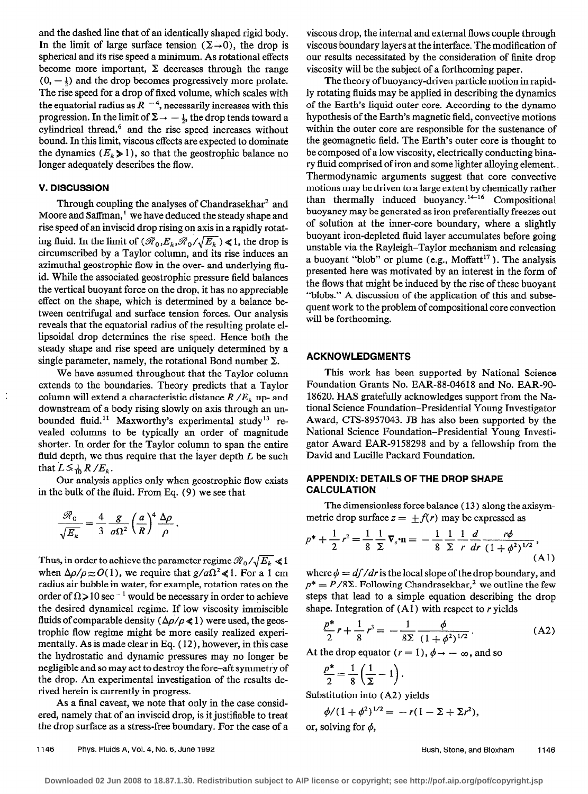and the dashed line that of an identically shaped rigid body. In the limit of large surface tension ( $\Sigma \rightarrow 0$ ), the drop is spherical and its rise speed a minimum. As rotational effects become more important,  $\Sigma$  decreases through the range  $(0, -\frac{1}{2})$  and the drop becomes progressively more prolate. The rise speed for a drop of fixed volume, which scales with the equatorial radius as  $R^{-4}$ , necessarily increases with this progression. In the limit of  $\Sigma \rightarrow -\frac{1}{2}$ , the drop tends toward a cylindrical thread,<sup>6</sup> and the rise speed increases without bound. In this limit, viscous effects are expected to dominate the dynamics  $(E_k \ge 1)$ , so that the geostrophic balance no longer adequately describes the flow.

### V. DISCUSSION

Through coupling the analyses of Chandrasekhar<sup>2</sup> and Moore and Saffman,<sup>1</sup> we have deduced the steady shape and rise speed of an inviscid drop rising on axis in a rapidly rotating fluid. In the limit of  $(\mathcal{R}_0, E_k, \mathcal{R}_0/\sqrt{E_k}) \le 1$ , the drop is circumscribed by a Taylor column, and its rise induces an azimuthal geostrophic flow in the over- and underlying fluid. While the associated geostrophic pressure field balances the vertical buoyant force on the drop, it has no appreciable effect on the shape, which is determined by a balance between centrifugal and surface tension forces. Our analysis reveals that the equatorial radius of the resulting prolate ellipsoidal drop determines the rise speed. Hence both the steady shape and rise speed are uniquely determined by a single parameter, namely, the rotational Bond number  $\Sigma$ .

We have assumed throughout that the Taylor column extends to the boundaries. Theory predicts that a Taylor column will extend a characteristic distance  $R / E_k$  up- and downstream of a body rising slowly on axis through an unbounded fluid.<sup>11</sup> Maxworthy's experimental study<sup>13</sup> revealed columns to be typically an order of magnitude shorter. In order for the Taylor column to span the entire fluid depth, we thus require that the layer depth  $L$  be such that  $L \leq \frac{1}{10} R / E_k$ .

Our analysis applies only when geostrophic flow exists **APPENDIX: DETAILS OF THE DROP SHAPE**<br> **CALCULATION** in the bulk of the fluid. From Eq.  $(9)$  we see that

$$
\frac{\mathscr{R}_0}{\sqrt{E_k}} = \frac{4}{3} \frac{g}{a\Omega^2} \left(\frac{a}{R}\right)^4 \frac{\Delta \rho}{\rho}.
$$

Thus, in order to achieve the parameter regime  $\mathcal{R}_0/\sqrt{E_k} \ll 1$ when  $\Delta \rho / \rho \approx O(1)$ , we require that  $g/a\Omega^2 \ll 1$ . For a 1 cm radius air bubble in water, for example, rotation rates on the order of  $\Omega > 10$  sec<sup>-1</sup> would be necessary in order to achieve the desired dynamical regime. If low viscosity immiscible fluids of comparable density ( $\Delta \rho / \rho \ll 1$ ) were used, the geostrophic flow regime might be more easily realized experimentally. As is made clear in Eq. ( 12), however, in this case the hydrostatic and dynamic pressures may no longer be negligible and so may act to destroy the fore-aft symmetry of the drop. An experimental investigation of the results derived herein is currently in progress.

As a final caveat, we note that only in the case considered, namely that of an inviscid drop, is it justifiable to treat the drop surface as a stress-free boundary. For the case of a viscous drop, the internal and external flows couple through viscous boundary layers at the interface. The modification of our results necessitated by the consideration of finite drop viscosity will be the subject of a forthcoming paper.

The theory of buoyancy-driven particle motion in rapidly rotating fluids may be applied in describing the dynamics of the Earth's liquid outer core. According to the dynamo hypothesis of the Earth's magnetic field, convective motions within the outer core are responsible for the sustenance of the geomagnetic field. The Earth's outer core is thought to be composed of a low viscosity, electrically conducting binary fluid comprised of iron and some lighter alloying element. Thermodynamic arguments suggest that core convective motions may be driven to a large extent by chemically rather than thermally induced buoyancy.<sup>14-16</sup> Compositional buoyancy may be generated as iron preferentially freezes out of solution at the inner-core boundary, where a slightly buoyant iron-depleted fluid layer accumulates before going unstable via the Rayleigh-Taylor mechanism and releasing a buoyant "blob" or plume (e.g.,  $M$ offatt $17$ ). The analysis presented here was motivated by an interest in the form of the flows that might be induced by the rise of these buoyant "blobs." A discussion of the application of this and subsequent work to the problem of compositional core convection will be forthcoming.

#### ACKNOWLEDGMENTS

This work has been supported by National Science Foundation Grants No. EAR-88-04618 and No. EAR-90- 18620. HAS gratefully acknowledges support from the National Science Foundation-Presidential Young Investigator Award, CTS-8957043. JB has also been supported by the National Science Foundation-Presidential Young Investigator Award EAR-9158298 and by a fellowship from the David and Lucille Packard Foundation.

The dimensionless force balance ( 13 ) along the axisymmetric drop surface  $z = \pm f(r)$  may be expressed as

$$
p^* + \frac{1}{2}r^2 = \frac{1}{8}\frac{1}{\Sigma}\nabla_s \cdot \mathbf{n} = -\frac{1}{8}\frac{1}{\Sigma}\frac{1}{r}\frac{d}{dr}\frac{r\phi}{(1+\phi^2)^{1/2}},\tag{A1}
$$

where  $\phi = df/dr$  is the local slope of the drop boundary, and  $p^* = P/8\Sigma$ . Following Chandrasekhar,<sup>2</sup> we outline the few steps that lead to a simple equation describing the drop shape. Integration of  $(A1)$  with respect to r yields

$$
\frac{p^*}{2}r + \frac{1}{8}r^3 = -\frac{1}{8\Sigma} \frac{\phi}{(1+\phi^2)^{1/2}}.
$$
 (A2)

At the drop equator  $(r=1)$ ,  $\phi \rightarrow -\infty$ , and so

$$
\frac{p^*}{2} = \frac{1}{8} \left( \frac{1}{\Sigma} - 1 \right).
$$

Substitution into (A2) yields

$$
\phi/(1+\phi^2)^{1/2} = -r(1-\Sigma+\Sigma r^2),
$$

or, solving for  $\phi$ ,